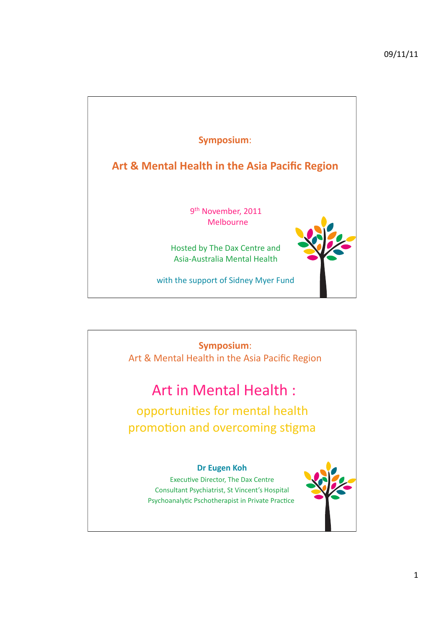

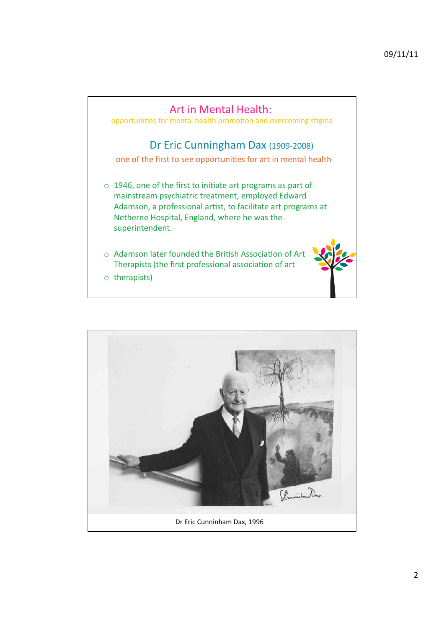

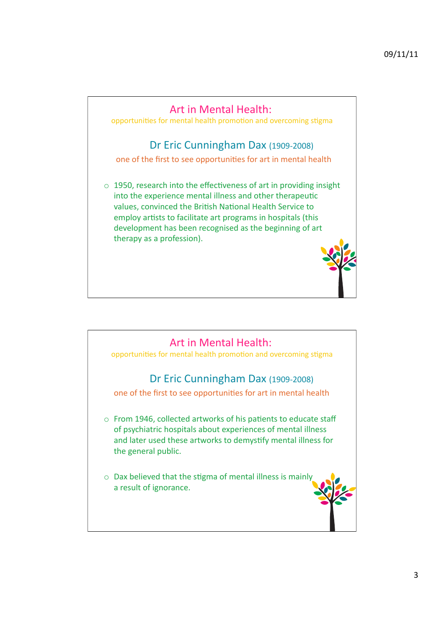

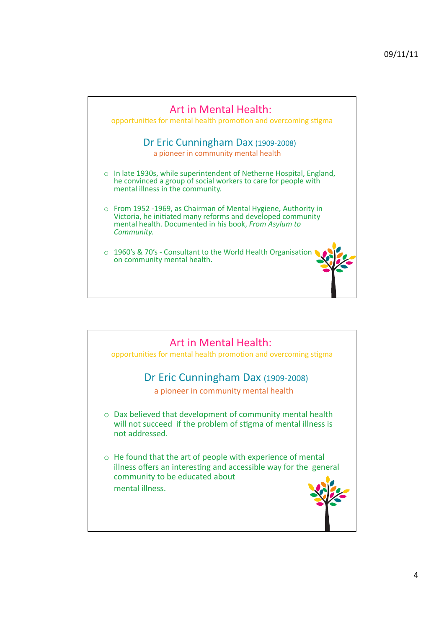

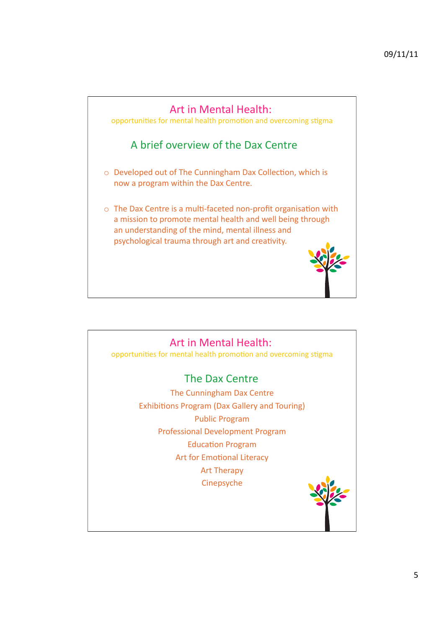

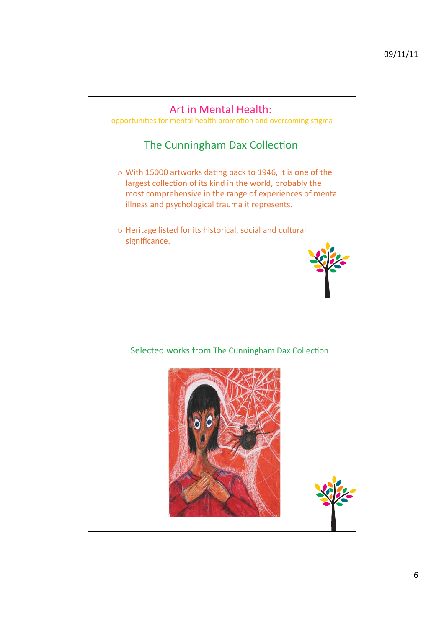

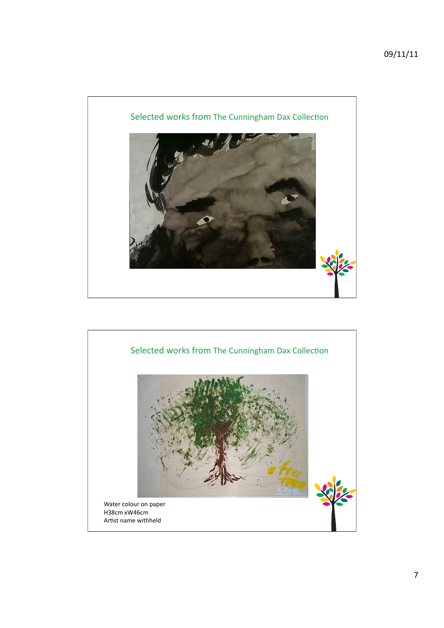

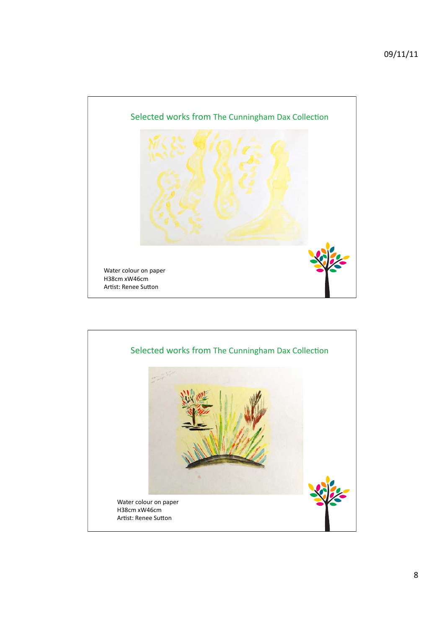

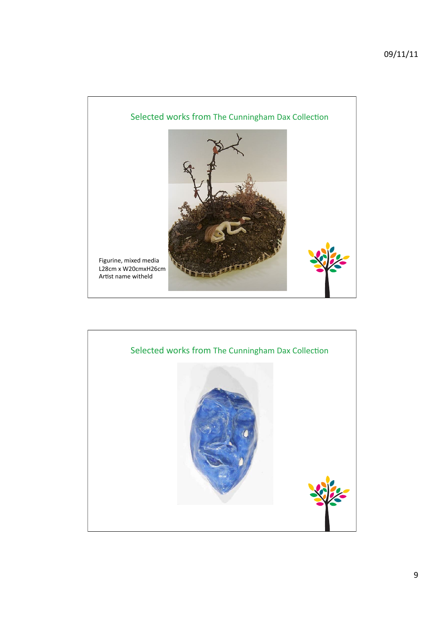

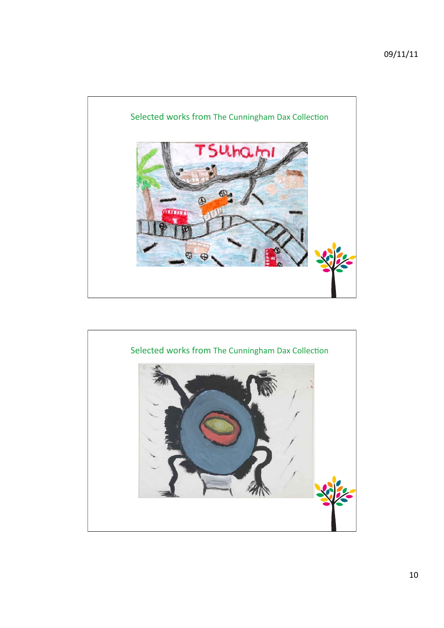

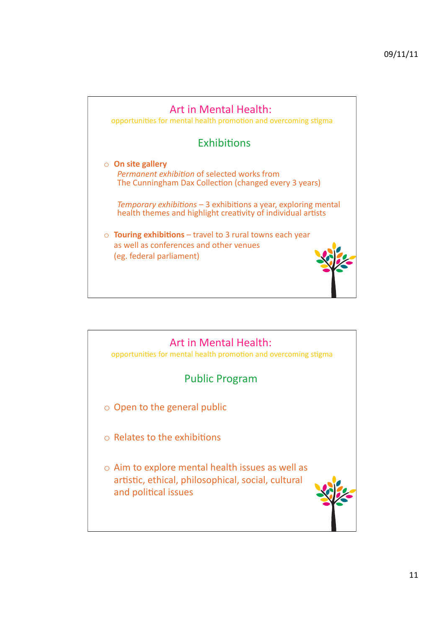

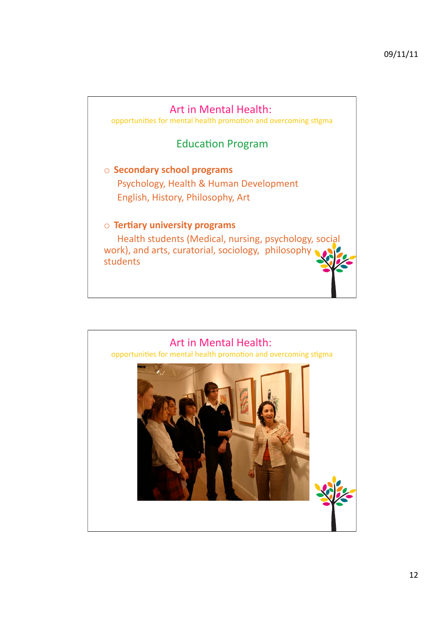

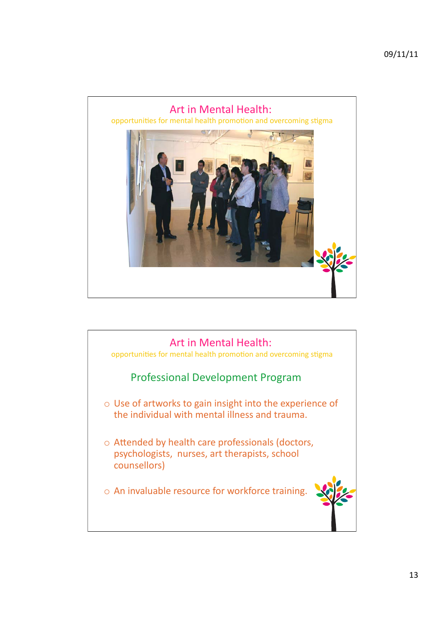

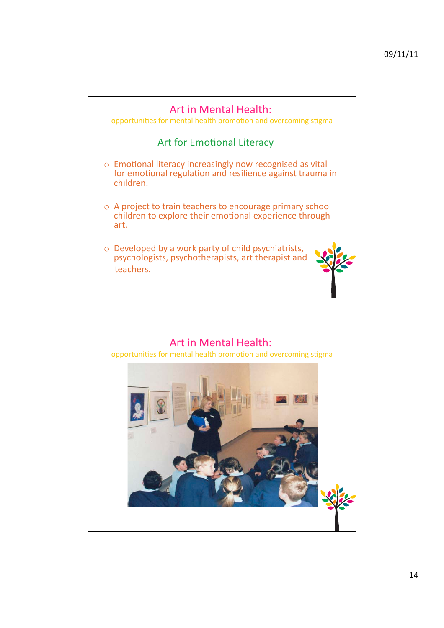

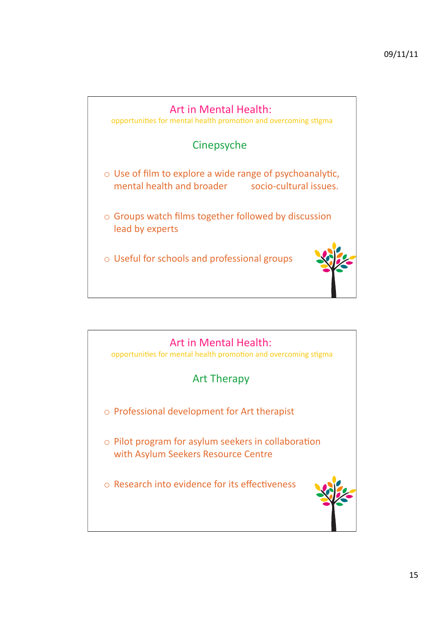

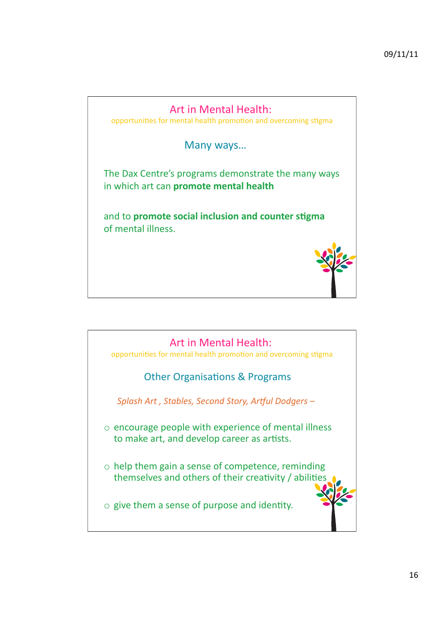![](_page_15_Figure_1.jpeg)

![](_page_15_Picture_2.jpeg)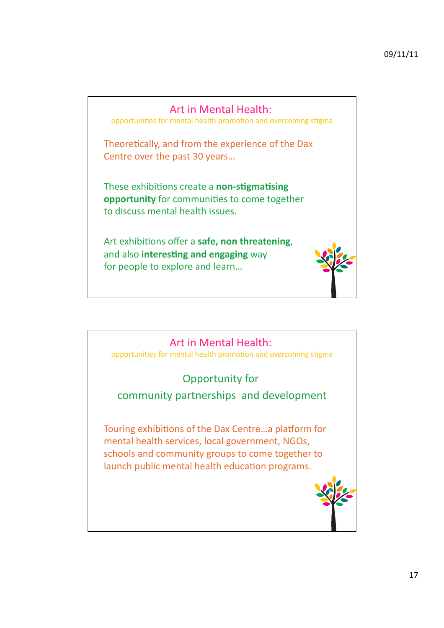![](_page_16_Picture_1.jpeg)

![](_page_16_Picture_2.jpeg)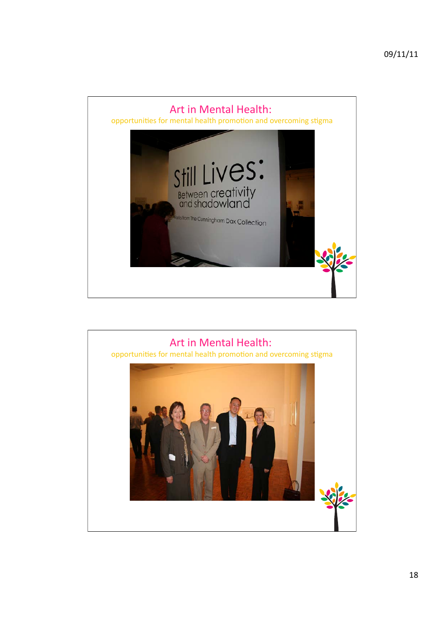![](_page_17_Picture_1.jpeg)

![](_page_17_Picture_2.jpeg)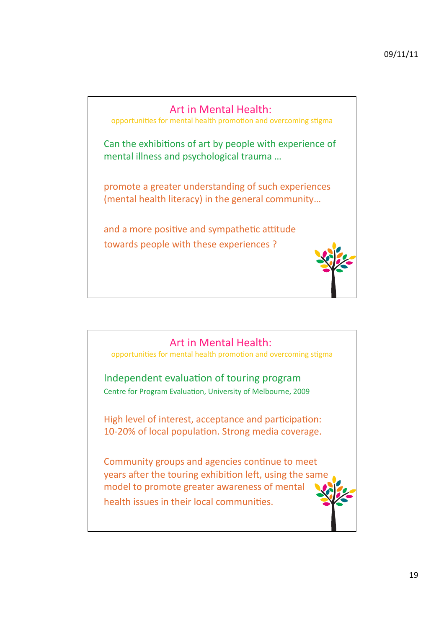![](_page_18_Picture_1.jpeg)

![](_page_18_Picture_2.jpeg)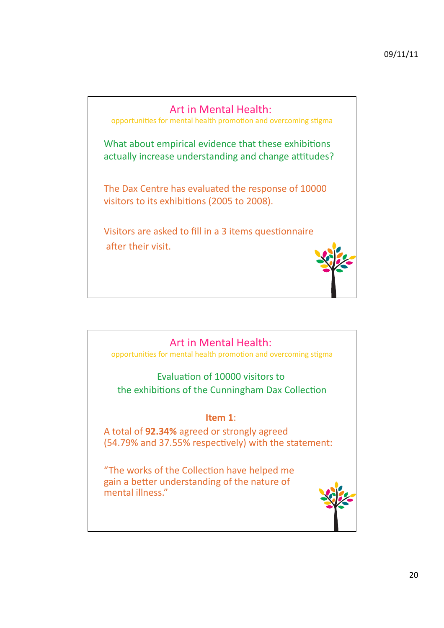![](_page_19_Picture_1.jpeg)

![](_page_19_Picture_2.jpeg)

opportunities for mental health promotion and overcoming stigma

Evaluation of 10000 visitors to the exhibitions of the Cunningham Dax Collection

### **Item 1:**

A total of **92.34%** agreed or strongly agreed (54.79% and 37.55% respectively) with the statement:

"The works of the Collection have helped me gain a better understanding of the nature of mental illness."

![](_page_19_Picture_8.jpeg)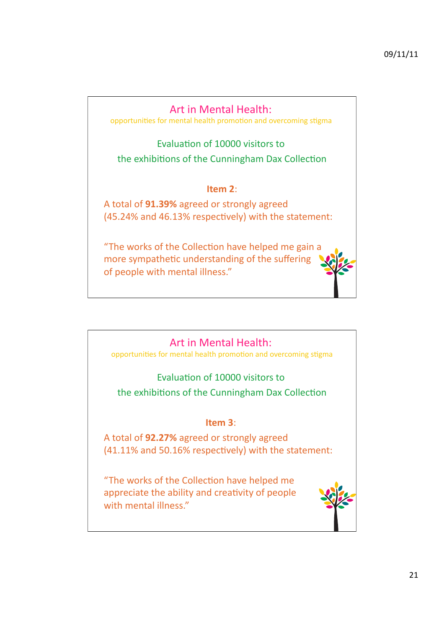# Art in Mental Health:

opportunities for mental health promotion and overcoming stigma

Evaluation of 10000 visitors to the exhibitions of the Cunningham Dax Collection

#### **Item 2:**

A total of **91.39%** agreed or strongly agreed  $(45.24\%$  and 46.13% respectively) with the statement:

"The works of the Collection have helped me gain a more sympathetic understanding of the suffering of people with mental illness."

## Art in Mental Health:

opportunities for mental health promotion and overcoming stigma

## Evaluation of 10000 visitors to

the exhibitions of the Cunningham Dax Collection

### **Item 3:**

A total of **92.27%** agreed or strongly agreed  $(41.11\%$  and 50.16% respectively) with the statement:

"The works of the Collection have helped me appreciate the ability and creativity of people with mental illness."

![](_page_20_Picture_14.jpeg)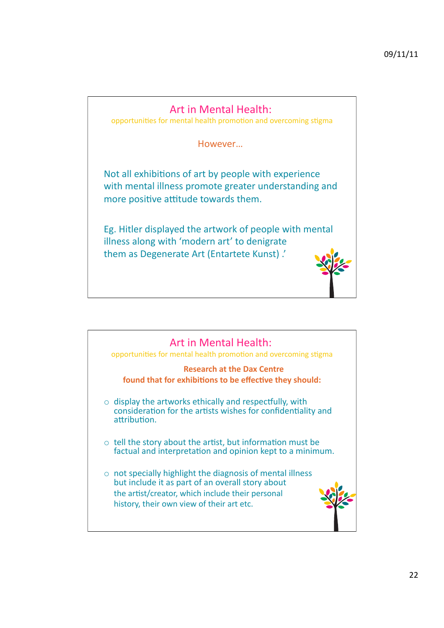# Art in Mental Health:

opportunities for mental health promotion and overcoming stigma

However...

Not all exhibitions of art by people with experience with mental illness promote greater understanding and more positive attitude towards them.

Eg. Hitler displayed the artwork of people with mental illness along with 'modern art' to denigrate them as Degenerate Art (Entartete Kunst).'

![](_page_21_Picture_6.jpeg)